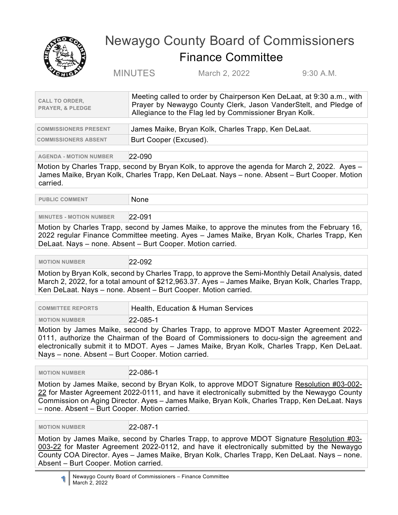

## Newaygo County Board of Commissioners Finance Committee

MINUTES March 2, 2022 9:30 A.M.

| <b>CALL TO ORDER.</b><br><b>PRAYER, &amp; PLEDGE</b> | Meeting called to order by Chairperson Ken DeLaat, at 9:30 a.m., with<br>Prayer by Newaygo County Clerk, Jason VanderStelt, and Pledge of<br>Allegiance to the Flag led by Commissioner Bryan Kolk. |
|------------------------------------------------------|-----------------------------------------------------------------------------------------------------------------------------------------------------------------------------------------------------|
|                                                      |                                                                                                                                                                                                     |

| <b>COMMISSIONERS PRESENT</b> | James Maike, Bryan Kolk, Charles Trapp, Ken DeLaat. |
|------------------------------|-----------------------------------------------------|
| <b>COMMISSIONERS ABSENT</b>  | Burt Cooper (Excused).                              |

**AGENDA - MOTION NUMBER** 22-090

Motion by Charles Trapp, second by Bryan Kolk, to approve the agenda for March 2, 2022. Ayes – James Maike, Bryan Kolk, Charles Trapp, Ken DeLaat. Nays – none. Absent – Burt Cooper. Motion carried.

**PUBLIC COMMENT** None

## **MINUTES - MOTION NUMBER** 22-091

Motion by Charles Trapp, second by James Maike, to approve the minutes from the February 16, 2022 regular Finance Committee meeting. Ayes – James Maike, Bryan Kolk, Charles Trapp, Ken DeLaat. Nays – none. Absent – Burt Cooper. Motion carried.

 **MOTION NUMBER** 22-092

Motion by Bryan Kolk, second by Charles Trapp, to approve the Semi-Monthly Detail Analysis, dated March 2, 2022, for a total amount of \$212,963.37. Ayes – James Maike, Bryan Kolk, Charles Trapp, Ken DeLaat. Nays – none. Absent – Burt Cooper. Motion carried.

| <b>COMMITTEE REPORTS</b> | Health, Education & Human Services                                                                                                                                                                                                                                                                                                 |
|--------------------------|------------------------------------------------------------------------------------------------------------------------------------------------------------------------------------------------------------------------------------------------------------------------------------------------------------------------------------|
| <b>MOTION NUMBER</b>     | $22 - 085 - 1$                                                                                                                                                                                                                                                                                                                     |
|                          | $\mathbf{M}$ $\mathbf{U}$ $\mathbf{U}$ $\mathbf{U}$ $\mathbf{U}$ $\mathbf{U}$ $\mathbf{U}$ $\mathbf{V}$ $\mathbf{U}$ $\mathbf{U}$ $\mathbf{U}$ $\mathbf{U}$ $\mathbf{U}$ $\mathbf{U}$ $\mathbf{U}$ $\mathbf{U}$ $\mathbf{U}$ $\mathbf{U}$ $\mathbf{U}$ $\mathbf{U}$ $\mathbf{U}$ $\mathbf{U}$ $\mathbf{U}$ $\mathbf{U}$ $\mathbf{$ |

Motion by James Maike, second by Charles Trapp, to approve MDOT Master Agreement 2022- 0111, authorize the Chairman of the Board of Commissioners to docu-sign the agreement and electronically submit it to MDOT. Ayes – James Maike, Bryan Kolk, Charles Trapp, Ken DeLaat. Nays – none. Absent – Burt Cooper. Motion carried.

 **MOTION NUMBER** 22-086-1

Motion by James Maike, second by Bryan Kolk, to approve MDOT Signature Resolution #03-002- 22 for Master Agreement 2022-0111, and have it electronically submitted by the Newaygo County Commission on Aging Director. Ayes – James Maike, Bryan Kolk, Charles Trapp, Ken DeLaat. Nays – none. Absent – Burt Cooper. Motion carried.

**MOTION NUMBER** 22-087-1

Motion by James Maike, second by Charles Trapp, to approve MDOT Signature Resolution #03- 003-22 for Master Agreement 2022-0112, and have it electronically submitted by the Newaygo County COA Director. Ayes – James Maike, Bryan Kolk, Charles Trapp, Ken DeLaat. Nays – none. Absent – Burt Cooper. Motion carried.